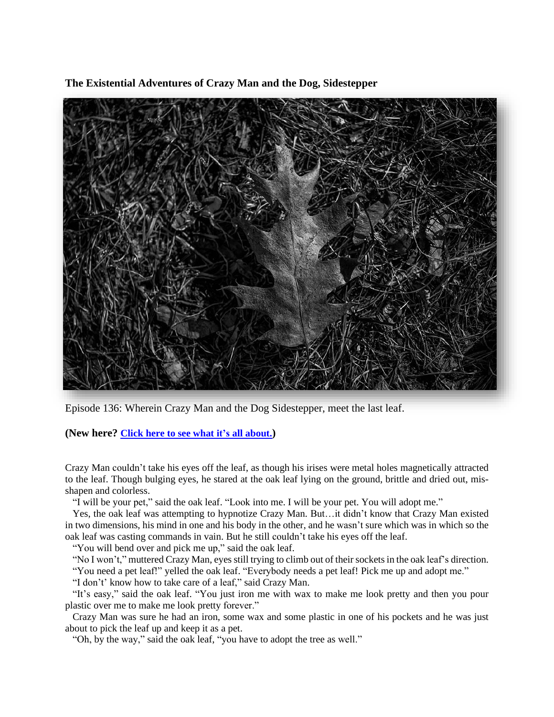**The Existential Adventures of Crazy Man and the Dog, Sidestepper**



Episode 136: Wherein Crazy Man and the Dog Sidestepper, meet the last leaf.

**(New here? Click here to see what it's all [about.](https://biffmitchell.com/crazy-man))** 

Crazy Man couldn't take his eyes off the leaf, as though his irises were metal holes magnetically attracted to the leaf. Though bulging eyes, he stared at the oak leaf lying on the ground, brittle and dried out, misshapen and colorless.

"I will be your pet," said the oak leaf. "Look into me. I will be your pet. You will adopt me."

 Yes, the oak leaf was attempting to hypnotize Crazy Man. But…it didn't know that Crazy Man existed in two dimensions, his mind in one and his body in the other, and he wasn't sure which was in which so the oak leaf was casting commands in vain. But he still couldn't take his eyes off the leaf.

"You will bend over and pick me up," said the oak leaf.

 "No I won't," muttered Crazy Man, eyes still trying to climb out of their socketsin the oak leaf's direction. "You need a pet leaf!" yelled the oak leaf. "Everybody needs a pet leaf! Pick me up and adopt me."

"I don't' know how to take care of a leaf," said Crazy Man.

 "It's easy," said the oak leaf. "You just iron me with wax to make me look pretty and then you pour plastic over me to make me look pretty forever."

 Crazy Man was sure he had an iron, some wax and some plastic in one of his pockets and he was just about to pick the leaf up and keep it as a pet.

"Oh, by the way," said the oak leaf, "you have to adopt the tree as well."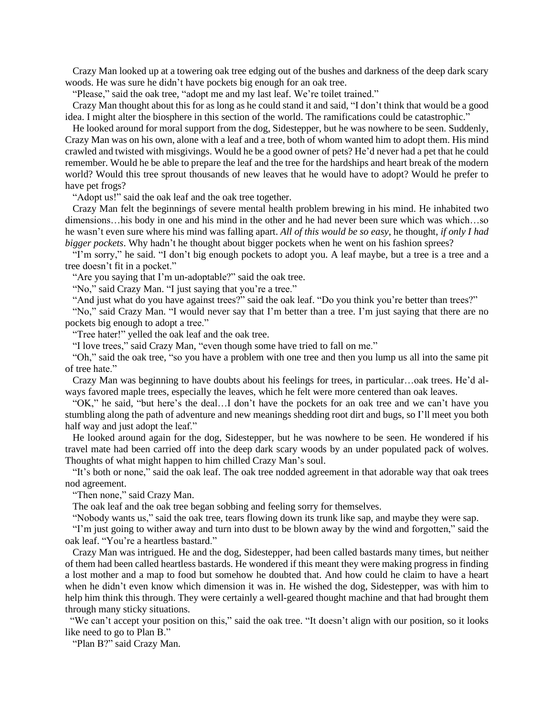Crazy Man looked up at a towering oak tree edging out of the bushes and darkness of the deep dark scary woods. He was sure he didn't have pockets big enough for an oak tree.

"Please," said the oak tree, "adopt me and my last leaf. We're toilet trained."

 Crazy Man thought about this for as long as he could stand it and said, "I don't think that would be a good idea. I might alter the biosphere in this section of the world. The ramifications could be catastrophic."

 He looked around for moral support from the dog, Sidestepper, but he was nowhere to be seen. Suddenly, Crazy Man was on his own, alone with a leaf and a tree, both of whom wanted him to adopt them. His mind crawled and twisted with misgivings. Would he be a good owner of pets? He'd never had a pet that he could remember. Would he be able to prepare the leaf and the tree for the hardships and heart break of the modern world? Would this tree sprout thousands of new leaves that he would have to adopt? Would he prefer to have pet frogs?

"Adopt us!" said the oak leaf and the oak tree together.

 Crazy Man felt the beginnings of severe mental health problem brewing in his mind. He inhabited two dimensions…his body in one and his mind in the other and he had never been sure which was which…so he wasn't even sure where his mind was falling apart. *All of this would be so easy*, he thought, *if only I had bigger pockets*. Why hadn't he thought about bigger pockets when he went on his fashion sprees?

 "I'm sorry," he said. "I don't big enough pockets to adopt you. A leaf maybe, but a tree is a tree and a tree doesn't fit in a pocket."

"Are you saying that I'm un-adoptable?" said the oak tree.

"No," said Crazy Man. "I just saying that you're a tree."

"And just what do you have against trees?" said the oak leaf. "Do you think you're better than trees?"

 "No," said Crazy Man. "I would never say that I'm better than a tree. I'm just saying that there are no pockets big enough to adopt a tree."

"Tree hater!" yelled the oak leaf and the oak tree.

"I love trees," said Crazy Man, "even though some have tried to fall on me."

 "Oh," said the oak tree, "so you have a problem with one tree and then you lump us all into the same pit of tree hate."

 Crazy Man was beginning to have doubts about his feelings for trees, in particular…oak trees. He'd always favored maple trees, especially the leaves, which he felt were more centered than oak leaves.

 "OK," he said, "but here's the deal…I don't have the pockets for an oak tree and we can't have you stumbling along the path of adventure and new meanings shedding root dirt and bugs, so I'll meet you both half way and just adopt the leaf."

 He looked around again for the dog, Sidestepper, but he was nowhere to be seen. He wondered if his travel mate had been carried off into the deep dark scary woods by an under populated pack of wolves. Thoughts of what might happen to him chilled Crazy Man's soul.

 "It's both or none," said the oak leaf. The oak tree nodded agreement in that adorable way that oak trees nod agreement.

"Then none," said Crazy Man.

The oak leaf and the oak tree began sobbing and feeling sorry for themselves.

"Nobody wants us," said the oak tree, tears flowing down its trunk like sap, and maybe they were sap.

 "I'm just going to wither away and turn into dust to be blown away by the wind and forgotten," said the oak leaf. "You're a heartless bastard."

 Crazy Man was intrigued. He and the dog, Sidestepper, had been called bastards many times, but neither of them had been called heartless bastards. He wondered if this meant they were making progress in finding a lost mother and a map to food but somehow he doubted that. And how could he claim to have a heart when he didn't even know which dimension it was in. He wished the dog, Sidestepper, was with him to help him think this through. They were certainly a well-geared thought machine and that had brought them through many sticky situations.

"We can't accept your position on this," said the oak tree. "It doesn't align with our position, so it looks like need to go to Plan B."

"Plan B?" said Crazy Man.